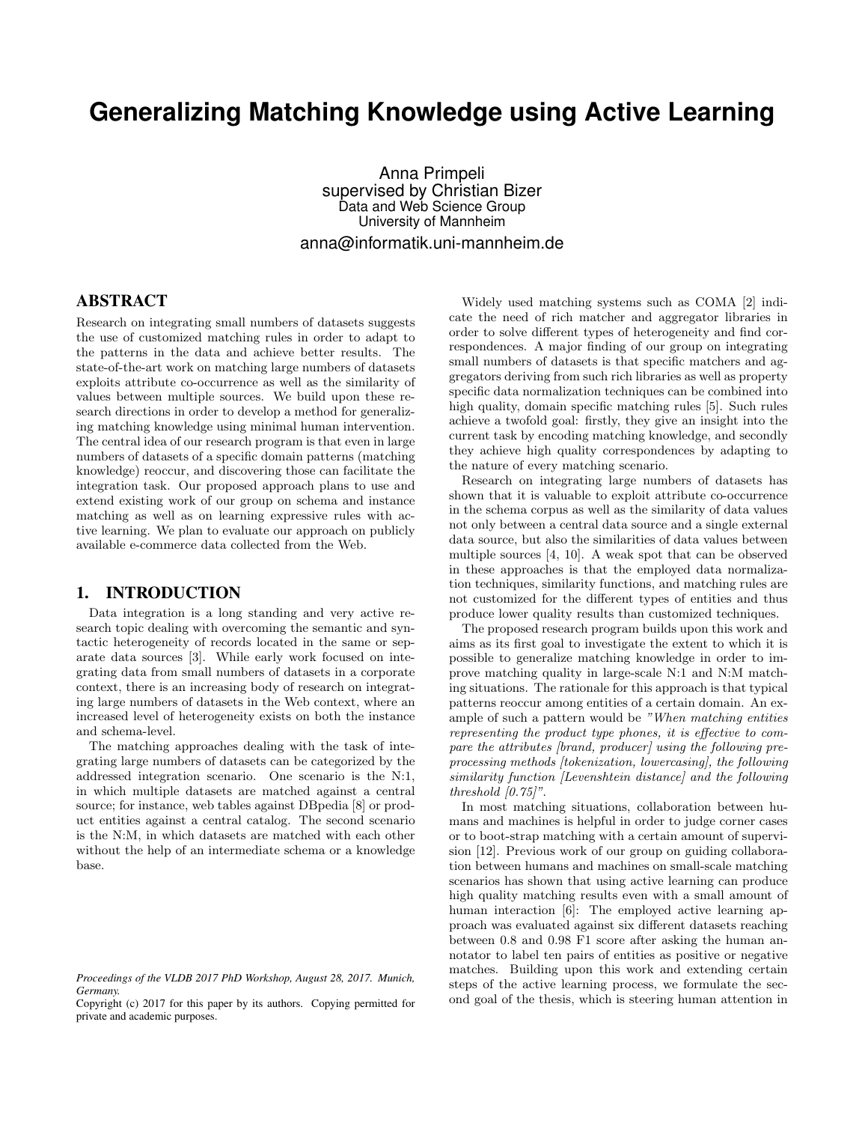# **Generalizing Matching Knowledge using Active Learning**

Anna Primpeli supervised by Christian Bizer Data and Web Science Group University of Mannheim anna@informatik.uni-mannheim.de

## ABSTRACT

Research on integrating small numbers of datasets suggests the use of customized matching rules in order to adapt to the patterns in the data and achieve better results. The state-of-the-art work on matching large numbers of datasets exploits attribute co-occurrence as well as the similarity of values between multiple sources. We build upon these research directions in order to develop a method for generalizing matching knowledge using minimal human intervention. The central idea of our research program is that even in large numbers of datasets of a specific domain patterns (matching knowledge) reoccur, and discovering those can facilitate the integration task. Our proposed approach plans to use and extend existing work of our group on schema and instance matching as well as on learning expressive rules with active learning. We plan to evaluate our approach on publicly available e-commerce data collected from the Web.

## 1. INTRODUCTION

Data integration is a long standing and very active research topic dealing with overcoming the semantic and syntactic heterogeneity of records located in the same or separate data sources [3]. While early work focused on integrating data from small numbers of datasets in a corporate context, there is an increasing body of research on integrating large numbers of datasets in the Web context, where an increased level of heterogeneity exists on both the instance and schema-level.

The matching approaches dealing with the task of integrating large numbers of datasets can be categorized by the addressed integration scenario. One scenario is the N:1, in which multiple datasets are matched against a central source; for instance, web tables against DBpedia [8] or product entities against a central catalog. The second scenario is the N:M, in which datasets are matched with each other without the help of an intermediate schema or a knowledge base.

Widely used matching systems such as COMA [2] indicate the need of rich matcher and aggregator libraries in order to solve different types of heterogeneity and find correspondences. A major finding of our group on integrating small numbers of datasets is that specific matchers and aggregators deriving from such rich libraries as well as property specific data normalization techniques can be combined into high quality, domain specific matching rules [5]. Such rules achieve a twofold goal: firstly, they give an insight into the current task by encoding matching knowledge, and secondly they achieve high quality correspondences by adapting to the nature of every matching scenario.

Research on integrating large numbers of datasets has shown that it is valuable to exploit attribute co-occurrence in the schema corpus as well as the similarity of data values not only between a central data source and a single external data source, but also the similarities of data values between multiple sources [4, 10]. A weak spot that can be observed in these approaches is that the employed data normalization techniques, similarity functions, and matching rules are not customized for the different types of entities and thus produce lower quality results than customized techniques.

The proposed research program builds upon this work and aims as its first goal to investigate the extent to which it is possible to generalize matching knowledge in order to improve matching quality in large-scale N:1 and N:M matching situations. The rationale for this approach is that typical patterns reoccur among entities of a certain domain. An example of such a pattern would be "When matching entities representing the product type phones, it is effective to compare the attributes [brand, producer] using the following preprocessing methods [tokenization, lowercasing], the following similarity function [Levenshtein distance] and the following threshold  $[0.75]$ ".

In most matching situations, collaboration between humans and machines is helpful in order to judge corner cases or to boot-strap matching with a certain amount of supervision [12]. Previous work of our group on guiding collaboration between humans and machines on small-scale matching scenarios has shown that using active learning can produce high quality matching results even with a small amount of human interaction [6]: The employed active learning approach was evaluated against six different datasets reaching between 0.8 and 0.98 F1 score after asking the human annotator to label ten pairs of entities as positive or negative matches. Building upon this work and extending certain steps of the active learning process, we formulate the second goal of the thesis, which is steering human attention in

*Proceedings of the VLDB 2017 PhD Workshop, August 28, 2017. Munich, Germany.*

Copyright (c) 2017 for this paper by its authors. Copying permitted for private and academic purposes.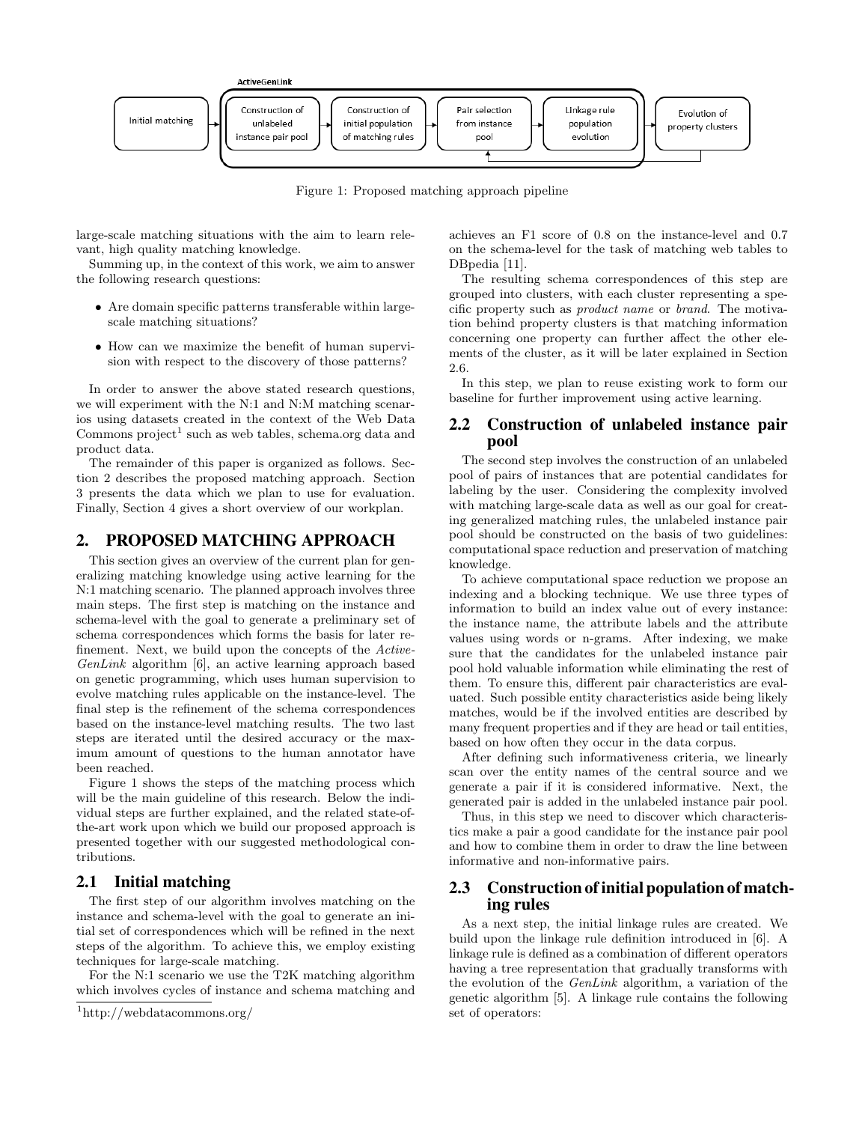

Figure 1: Proposed matching approach pipeline

large-scale matching situations with the aim to learn relevant, high quality matching knowledge.

Summing up, in the context of this work, we aim to answer the following research questions:

- Are domain specific patterns transferable within largescale matching situations?
- How can we maximize the benefit of human supervision with respect to the discovery of those patterns?

In order to answer the above stated research questions, we will experiment with the N:1 and N:M matching scenarios using datasets created in the context of the Web Data Commons  $project<sup>1</sup>$  such as web tables, schema.org data and product data.

The remainder of this paper is organized as follows. Section 2 describes the proposed matching approach. Section 3 presents the data which we plan to use for evaluation. Finally, Section 4 gives a short overview of our workplan.

## 2. PROPOSED MATCHING APPROACH

This section gives an overview of the current plan for generalizing matching knowledge using active learning for the N:1 matching scenario. The planned approach involves three main steps. The first step is matching on the instance and schema-level with the goal to generate a preliminary set of schema correspondences which forms the basis for later refinement. Next, we build upon the concepts of the Active-GenLink algorithm [6], an active learning approach based on genetic programming, which uses human supervision to evolve matching rules applicable on the instance-level. The final step is the refinement of the schema correspondences based on the instance-level matching results. The two last steps are iterated until the desired accuracy or the maximum amount of questions to the human annotator have been reached.

Figure 1 shows the steps of the matching process which will be the main guideline of this research. Below the individual steps are further explained, and the related state-ofthe-art work upon which we build our proposed approach is presented together with our suggested methodological contributions.

## 2.1 Initial matching

The first step of our algorithm involves matching on the instance and schema-level with the goal to generate an initial set of correspondences which will be refined in the next steps of the algorithm. To achieve this, we employ existing techniques for large-scale matching.

For the N:1 scenario we use the T2K matching algorithm which involves cycles of instance and schema matching and achieves an F1 score of 0.8 on the instance-level and 0.7 on the schema-level for the task of matching web tables to DBpedia [11].

The resulting schema correspondences of this step are grouped into clusters, with each cluster representing a specific property such as product name or brand. The motivation behind property clusters is that matching information concerning one property can further affect the other elements of the cluster, as it will be later explained in Section 2.6.

In this step, we plan to reuse existing work to form our baseline for further improvement using active learning.

## 2.2 Construction of unlabeled instance pair pool

The second step involves the construction of an unlabeled pool of pairs of instances that are potential candidates for labeling by the user. Considering the complexity involved with matching large-scale data as well as our goal for creating generalized matching rules, the unlabeled instance pair pool should be constructed on the basis of two guidelines: computational space reduction and preservation of matching knowledge.

To achieve computational space reduction we propose an indexing and a blocking technique. We use three types of information to build an index value out of every instance: the instance name, the attribute labels and the attribute values using words or n-grams. After indexing, we make sure that the candidates for the unlabeled instance pair pool hold valuable information while eliminating the rest of them. To ensure this, different pair characteristics are evaluated. Such possible entity characteristics aside being likely matches, would be if the involved entities are described by many frequent properties and if they are head or tail entities, based on how often they occur in the data corpus.

After defining such informativeness criteria, we linearly scan over the entity names of the central source and we generate a pair if it is considered informative. Next, the generated pair is added in the unlabeled instance pair pool.

Thus, in this step we need to discover which characteristics make a pair a good candidate for the instance pair pool and how to combine them in order to draw the line between informative and non-informative pairs.

## 2.3 Construction of initial population of matching rules

As a next step, the initial linkage rules are created. We build upon the linkage rule definition introduced in [6]. A linkage rule is defined as a combination of different operators having a tree representation that gradually transforms with the evolution of the GenLink algorithm, a variation of the genetic algorithm [5]. A linkage rule contains the following set of operators:

<sup>1</sup>http://webdatacommons.org/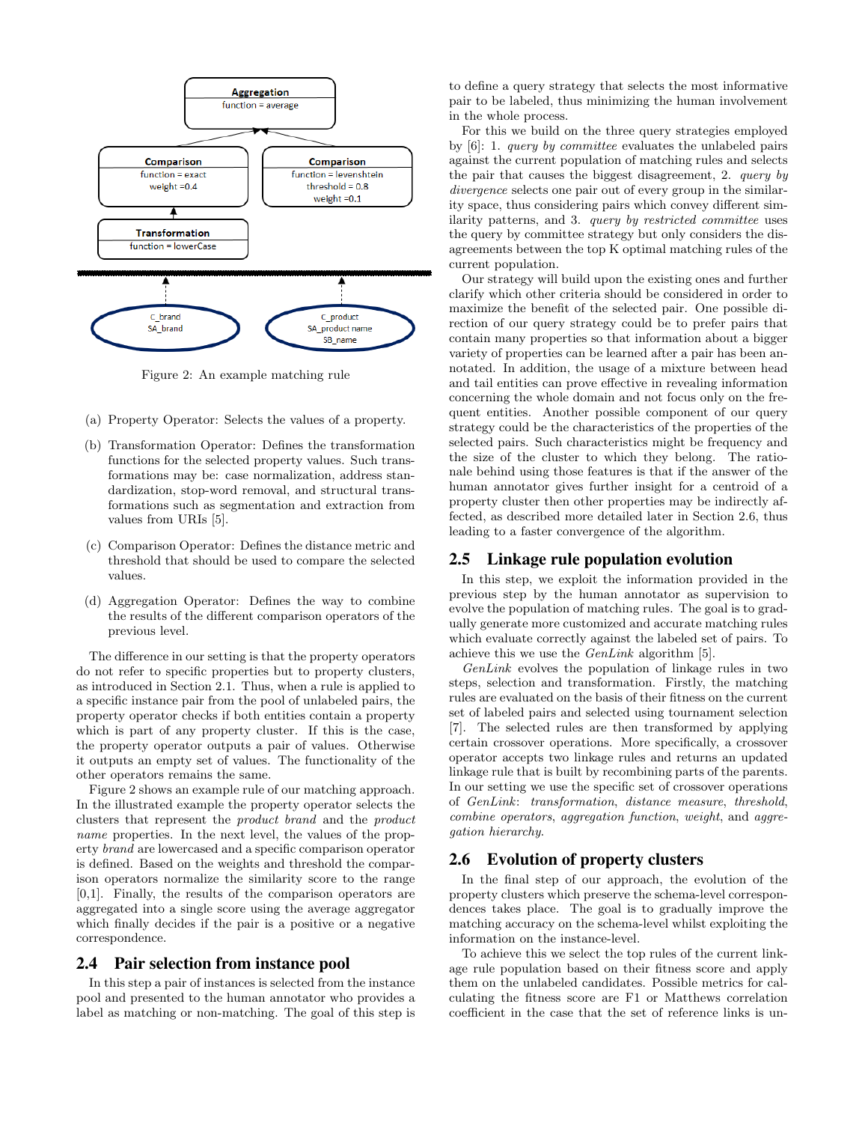

Figure 2: An example matching rule

- (a) Property Operator: Selects the values of a property.
- (b) Transformation Operator: Defines the transformation functions for the selected property values. Such transformations may be: case normalization, address standardization, stop-word removal, and structural transformations such as segmentation and extraction from values from URIs [5].
- (c) Comparison Operator: Defines the distance metric and threshold that should be used to compare the selected values.
- (d) Aggregation Operator: Defines the way to combine the results of the different comparison operators of the previous level.

The difference in our setting is that the property operators do not refer to specific properties but to property clusters, as introduced in Section 2.1. Thus, when a rule is applied to a specific instance pair from the pool of unlabeled pairs, the property operator checks if both entities contain a property which is part of any property cluster. If this is the case, the property operator outputs a pair of values. Otherwise it outputs an empty set of values. The functionality of the other operators remains the same.

Figure 2 shows an example rule of our matching approach. In the illustrated example the property operator selects the clusters that represent the product brand and the product name properties. In the next level, the values of the property brand are lowercased and a specific comparison operator is defined. Based on the weights and threshold the comparison operators normalize the similarity score to the range [0,1]. Finally, the results of the comparison operators are aggregated into a single score using the average aggregator which finally decides if the pair is a positive or a negative correspondence.

#### 2.4 Pair selection from instance pool

In this step a pair of instances is selected from the instance pool and presented to the human annotator who provides a label as matching or non-matching. The goal of this step is to define a query strategy that selects the most informative pair to be labeled, thus minimizing the human involvement in the whole process.

For this we build on the three query strategies employed by [6]: 1. query by committee evaluates the unlabeled pairs against the current population of matching rules and selects the pair that causes the biggest disagreement, 2. query by divergence selects one pair out of every group in the similarity space, thus considering pairs which convey different similarity patterns, and 3. query by restricted committee uses the query by committee strategy but only considers the disagreements between the top K optimal matching rules of the current population.

Our strategy will build upon the existing ones and further clarify which other criteria should be considered in order to maximize the benefit of the selected pair. One possible direction of our query strategy could be to prefer pairs that contain many properties so that information about a bigger variety of properties can be learned after a pair has been annotated. In addition, the usage of a mixture between head and tail entities can prove effective in revealing information concerning the whole domain and not focus only on the frequent entities. Another possible component of our query strategy could be the characteristics of the properties of the selected pairs. Such characteristics might be frequency and the size of the cluster to which they belong. The rationale behind using those features is that if the answer of the human annotator gives further insight for a centroid of a property cluster then other properties may be indirectly affected, as described more detailed later in Section 2.6, thus leading to a faster convergence of the algorithm.

#### 2.5 Linkage rule population evolution

In this step, we exploit the information provided in the previous step by the human annotator as supervision to evolve the population of matching rules. The goal is to gradually generate more customized and accurate matching rules which evaluate correctly against the labeled set of pairs. To achieve this we use the GenLink algorithm [5].

GenLink evolves the population of linkage rules in two steps, selection and transformation. Firstly, the matching rules are evaluated on the basis of their fitness on the current set of labeled pairs and selected using tournament selection [7]. The selected rules are then transformed by applying certain crossover operations. More specifically, a crossover operator accepts two linkage rules and returns an updated linkage rule that is built by recombining parts of the parents. In our setting we use the specific set of crossover operations of GenLink: transformation, distance measure, threshold, combine operators, aggregation function, weight, and aggregation hierarchy.

#### 2.6 Evolution of property clusters

In the final step of our approach, the evolution of the property clusters which preserve the schema-level correspondences takes place. The goal is to gradually improve the matching accuracy on the schema-level whilst exploiting the information on the instance-level.

To achieve this we select the top rules of the current linkage rule population based on their fitness score and apply them on the unlabeled candidates. Possible metrics for calculating the fitness score are F1 or Matthews correlation coefficient in the case that the set of reference links is un